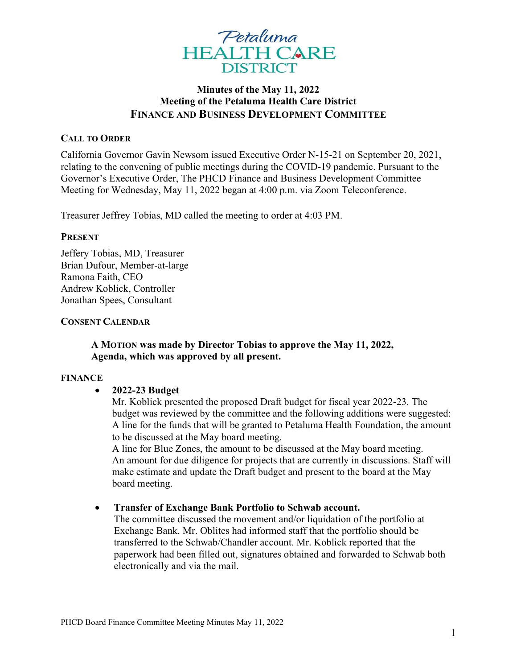

# Minutes of the May 11, 2022 Meeting of the Petaluma Health Care District FINANCE AND BUSINESS DEVELOPMENT COMMITTEE

### CALL TO ORDER

California Governor Gavin Newsom issued Executive Order N-15-21 on September 20, 2021, relating to the convening of public meetings during the COVID-19 pandemic. Pursuant to the Governor's Executive Order, The PHCD Finance and Business Development Committee Meeting for Wednesday, May 11, 2022 began at 4:00 p.m. via Zoom Teleconference.

Treasurer Jeffrey Tobias, MD called the meeting to order at 4:03 PM.

#### PRESENT

Jeffery Tobias, MD, Treasurer Brian Dufour, Member-at-large Ramona Faith, CEO Andrew Koblick, Controller Jonathan Spees, Consultant

#### CONSENT CALENDAR

### A MOTION was made by Director Tobias to approve the May 11, 2022, Agenda, which was approved by all present.

#### FINANCE

### 2022-23 Budget

Mr. Koblick presented the proposed Draft budget for fiscal year 2022-23. The budget was reviewed by the committee and the following additions were suggested: A line for the funds that will be granted to Petaluma Health Foundation, the amount to be discussed at the May board meeting.

A line for Blue Zones, the amount to be discussed at the May board meeting. An amount for due diligence for projects that are currently in discussions. Staff will make estimate and update the Draft budget and present to the board at the May board meeting.

### Transfer of Exchange Bank Portfolio to Schwab account.

The committee discussed the movement and/or liquidation of the portfolio at Exchange Bank. Mr. Oblites had informed staff that the portfolio should be transferred to the Schwab/Chandler account. Mr. Koblick reported that the paperwork had been filled out, signatures obtained and forwarded to Schwab both electronically and via the mail.